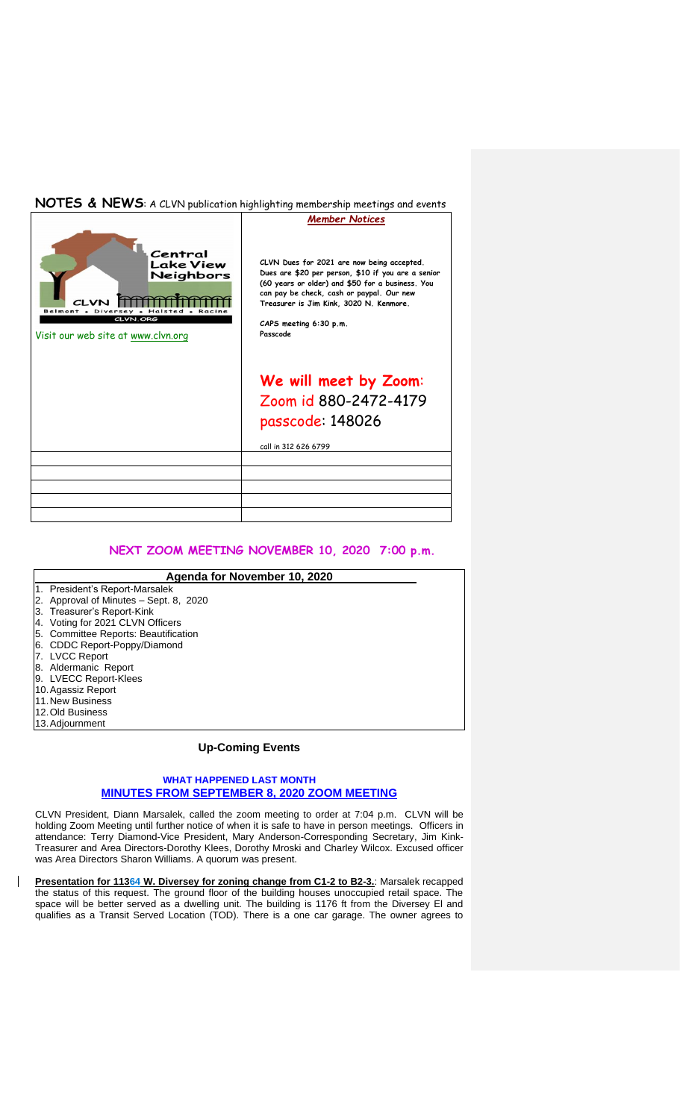## **NOTES & NEWS**: A CLVN publication highlighting membership meetings and events



## **NEXT ZOOM MEETING NOVEMBER 10, 2020 7:00 p.m.**

| Agenda for November 10, 2020 |                                        |
|------------------------------|----------------------------------------|
|                              | 1. President's Report-Marsalek         |
|                              | 2. Approval of Minutes - Sept. 8, 2020 |
|                              | 3. Treasurer's Report-Kink             |
|                              | 4. Voting for 2021 CLVN Officers       |
|                              | 5. Committee Reports: Beautification   |
|                              | 6. CDDC Report-Poppy/Diamond           |
|                              | 7. LVCC Report                         |
|                              | 8. Aldermanic Report                   |
|                              | 9. LVECC Report-Klees                  |
|                              | 10. Agassiz Report                     |
|                              | 11. New Business                       |
|                              | 12. Old Business                       |
|                              | 13. Adjournment                        |

## **Up-Coming Events**

## **WHAT HAPPENED LAST MONTH MINUTES FROM SEPTEMBER 8, 2020 ZOOM MEETING**

CLVN President, Diann Marsalek, called the zoom meeting to order at 7:04 p.m. CLVN will be holding Zoom Meeting until further notice of when it is safe to have in person meetings. Officers in attendance: Terry Diamond-Vice President, Mary Anderson-Corresponding Secretary, Jim Kink-Treasurer and Area Directors-Dorothy Klees, Dorothy Mroski and Charley Wilcox. Excused officer was Area Directors Sharon Williams. A quorum was present.

 $\mathsf{I}$ **Presentation for 11364 W. Diversey for zoning change from C1-2 to B2-3.**: Marsalek recapped the status of this request. The ground floor of the building houses unoccupied retail space. The space will be better served as a dwelling unit. The building is 1176 ft from the Diversey El and qualifies as a Transit Served Location (TOD). There is a one car garage. The owner agrees to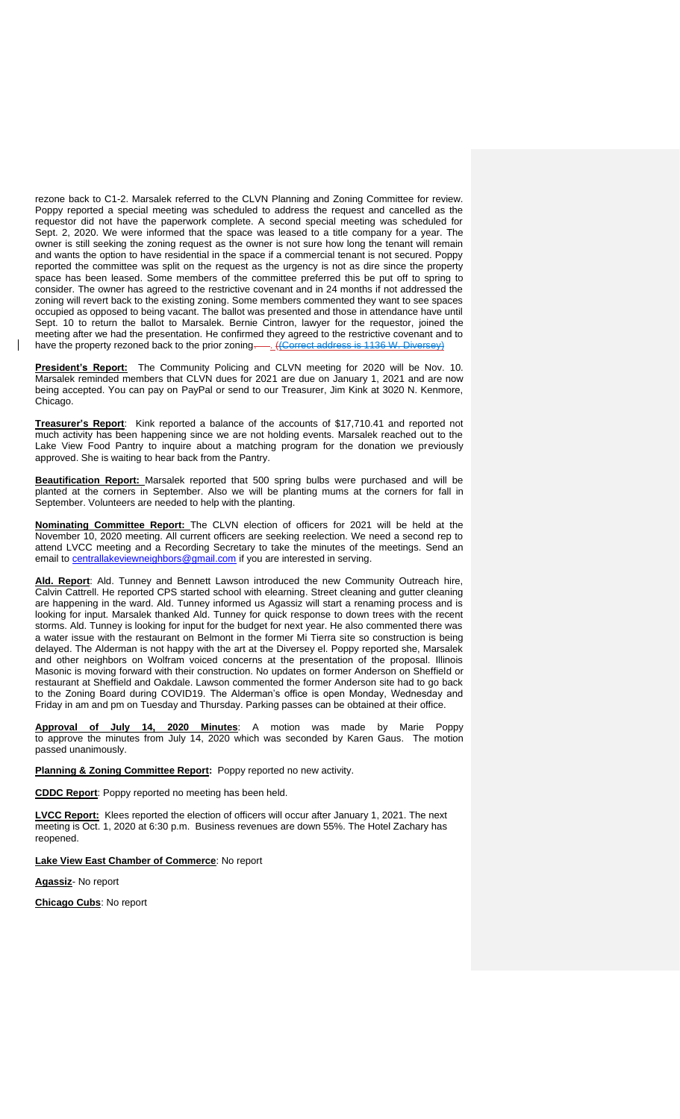rezone back to C1-2. Marsalek referred to the CLVN Planning and Zoning Committee for review. Poppy reported a special meeting was scheduled to address the request and cancelled as the requestor did not have the paperwork complete. A second special meeting was scheduled for Sept. 2, 2020. We were informed that the space was leased to a title company for a year. The owner is still seeking the zoning request as the owner is not sure how long the tenant will remain and wants the option to have residential in the space if a commercial tenant is not secured. Poppy reported the committee was split on the request as the urgency is not as dire since the property space has been leased. Some members of the committee preferred this be put off to spring to consider. The owner has agreed to the restrictive covenant and in 24 months if not addressed the zoning will revert back to the existing zoning. Some members commented they want to see spaces occupied as opposed to being vacant. The ballot was presented and those in attendance have until Sept. 10 to return the ballot to Marsalek. Bernie Cintron, lawyer for the requestor, joined the meeting after we had the presentation. He confirmed they agreed to the restrictive covenant and to have the property rezoned back to the prior zoning. ((Correct address is 1136 W. Diversey)

**President's Report:** The Community Policing and CLVN meeting for 2020 will be Nov. 10. Marsalek reminded members that CLVN dues for 2021 are due on January 1, 2021 and are now being accepted. You can pay on PayPal or send to our Treasurer, Jim Kink at 3020 N. Kenmore, Chicago.

**Treasurer's Report**: Kink reported a balance of the accounts of \$17,710.41 and reported not much activity has been happening since we are not holding events. Marsalek reached out to the Lake View Food Pantry to inquire about a matching program for the donation we previously approved. She is waiting to hear back from the Pantry.

**Beautification Report:** Marsalek reported that 500 spring bulbs were purchased and will be planted at the corners in September. Also we will be planting mums at the corners for fall in September. Volunteers are needed to help with the planting.

**Nominating Committee Report:** The CLVN election of officers for 2021 will be held at the November 10, 2020 meeting. All current officers are seeking reelection. We need a second rep to attend LVCC meeting and a Recording Secretary to take the minutes of the meetings. Send an email to [centrallakeviewneighbors@gmail.com](mailto:centrallakeviewneighbors@gmail.com) if you are interested in serving.

**Ald. Report**: Ald. Tunney and Bennett Lawson introduced the new Community Outreach hire, Calvin Cattrell. He reported CPS started school with elearning. Street cleaning and gutter cleaning are happening in the ward. Ald. Tunney informed us Agassiz will start a renaming process and is looking for input. Marsalek thanked Ald. Tunney for quick response to down trees with the recent storms. Ald. Tunney is looking for input for the budget for next year. He also commented there was a water issue with the restaurant on Belmont in the former Mi Tierra site so construction is being delayed. The Alderman is not happy with the art at the Diversey el. Poppy reported she, Marsalek and other neighbors on Wolfram voiced concerns at the presentation of the proposal. Illinois Masonic is moving forward with their construction. No updates on former Anderson on Sheffield or restaurant at Sheffield and Oakdale. Lawson commented the former Anderson site had to go back to the Zoning Board during COVID19. The Alderman's office is open Monday, Wednesday and Friday in am and pm on Tuesday and Thursday. Parking passes can be obtained at their office.

**Approval of July 14, 2020 Minutes**: A motion was made by Marie Poppy to approve the minutes from July 14, 2020 which was seconded by Karen Gaus. The motion passed unanimously.

**Planning & Zoning Committee Report:** Poppy reported no new activity.

**CDDC Report**: Poppy reported no meeting has been held.

**LVCC Report:** Klees reported the election of officers will occur after January 1, 2021. The next meeting is Oct. 1, 2020 at 6:30 p.m. Business revenues are down 55%. The Hotel Zachary has reopened.

**Lake View East Chamber of Commerce**: No report

**Agassiz**- No report

**Chicago Cubs**: No report